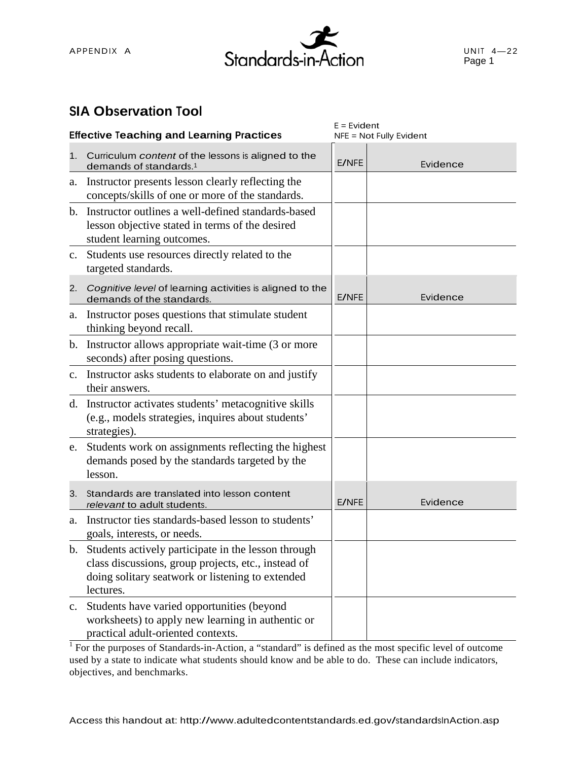

#### **SIA Observation Tool**

| <b>Effective Teaching and Learning Practices</b> |                                                                                                                                                                                | $E = Evident$<br>NFE = Not Fully Evident |          |
|--------------------------------------------------|--------------------------------------------------------------------------------------------------------------------------------------------------------------------------------|------------------------------------------|----------|
| 1.                                               | Curriculum content of the lessons is aligned to the<br>demands of standards. <sup>1</sup>                                                                                      | E/NFE                                    | Evidence |
| a.                                               | Instructor presents lesson clearly reflecting the<br>concepts/skills of one or more of the standards.                                                                          |                                          |          |
| $\mathbf{b}$ .                                   | Instructor outlines a well-defined standards-based<br>lesson objective stated in terms of the desired<br>student learning outcomes.                                            |                                          |          |
| c.                                               | Students use resources directly related to the<br>targeted standards.                                                                                                          |                                          |          |
| 2.                                               | Cognitive level of learning activities is aligned to the<br>demands of the standards.                                                                                          | E/NFE                                    | Evidence |
| a.                                               | Instructor poses questions that stimulate student<br>thinking beyond recall.                                                                                                   |                                          |          |
| b.                                               | Instructor allows appropriate wait-time (3 or more<br>seconds) after posing questions.                                                                                         |                                          |          |
|                                                  | c. Instructor asks students to elaborate on and justify<br>their answers.                                                                                                      |                                          |          |
|                                                  | d. Instructor activates students' metacognitive skills<br>(e.g., models strategies, inquires about students'<br>strategies).                                                   |                                          |          |
| e.                                               | Students work on assignments reflecting the highest<br>demands posed by the standards targeted by the<br>lesson.                                                               |                                          |          |
| 3.                                               | Standards are translated into lesson content<br>relevant to adult students.                                                                                                    | E/NFE                                    | Evidence |
| a.                                               | Instructor ties standards-based lesson to students'<br>goals, interests, or needs.                                                                                             |                                          |          |
|                                                  | b. Students actively participate in the lesson through<br>class discussions, group projects, etc., instead of<br>doing solitary seatwork or listening to extended<br>lectures. |                                          |          |
| $\mathbf{c}$ .                                   | Students have varied opportunities (beyond<br>worksheets) to apply new learning in authentic or<br>practical adult-oriented contexts.                                          |                                          |          |

<sup>1</sup> For the purposes of Standards-in-Action, a "standard" is defined as the most specific level of outcome used by a state to indicate what students should know and be able to do. These can include indicators, objectives, and benchmarks.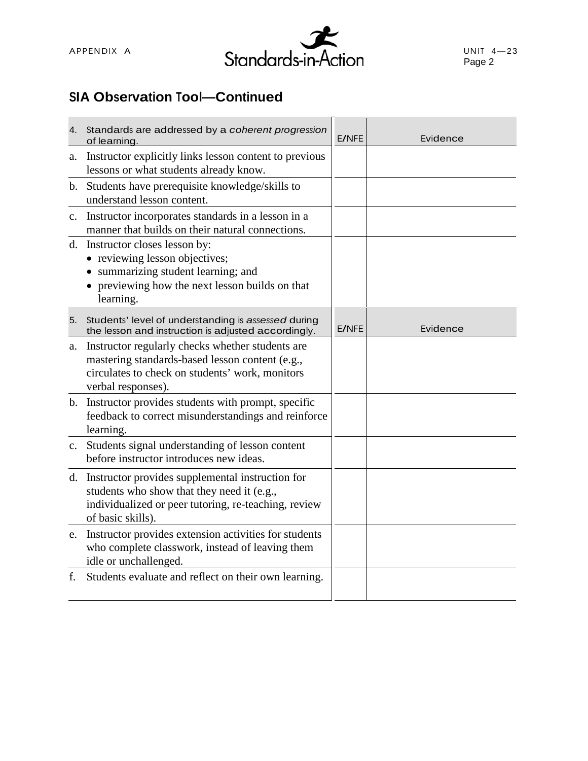

## **SIA Observation Tool—Continued**

| 4.          | Standards are addressed by a coherent progression<br>of learning.                                                                                                              | E/NFE        | Evidence |
|-------------|--------------------------------------------------------------------------------------------------------------------------------------------------------------------------------|--------------|----------|
| a.          | Instructor explicitly links lesson content to previous<br>lessons or what students already know.                                                                               |              |          |
| b.          | Students have prerequisite knowledge/skills to<br>understand lesson content.                                                                                                   |              |          |
| $c_{\cdot}$ | Instructor incorporates standards in a lesson in a<br>manner that builds on their natural connections.                                                                         |              |          |
|             | d. Instructor closes lesson by:<br>• reviewing lesson objectives;<br>• summarizing student learning; and<br>• previewing how the next lesson builds on that<br>learning.       |              |          |
| 5.          | Students' level of understanding is assessed during<br>the lesson and instruction is adjusted accordingly.                                                                     | <b>E/NFE</b> | Evidence |
| a.          | Instructor regularly checks whether students are<br>mastering standards-based lesson content (e.g.,<br>circulates to check on students' work, monitors<br>verbal responses).   |              |          |
|             | b. Instructor provides students with prompt, specific<br>feedback to correct misunderstandings and reinforce<br>learning.                                                      |              |          |
| $c_{\cdot}$ | Students signal understanding of lesson content<br>before instructor introduces new ideas.                                                                                     |              |          |
|             | d. Instructor provides supplemental instruction for<br>students who show that they need it (e.g.,<br>individualized or peer tutoring, re-teaching, review<br>of basic skills). |              |          |
|             | e. Instructor provides extension activities for students<br>who complete classwork, instead of leaving them<br>idle or unchallenged.                                           |              |          |
| f.          | Students evaluate and reflect on their own learning.                                                                                                                           |              |          |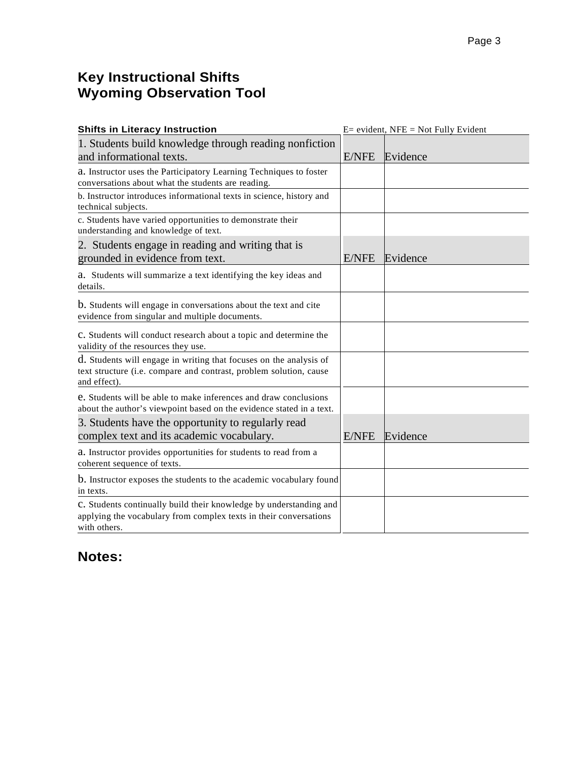#### **Key Instructional Shifts Wyoming Observation Tool**

| <b>Shifts in Literacy Instruction</b>                                                                                                                    | $E=$ evident, NFE = Not Fully Evident |          |  |
|----------------------------------------------------------------------------------------------------------------------------------------------------------|---------------------------------------|----------|--|
| 1. Students build knowledge through reading nonfiction<br>and informational texts.                                                                       |                                       | Evidence |  |
| a. Instructor uses the Participatory Learning Techniques to foster<br>conversations about what the students are reading.                                 |                                       |          |  |
| b. Instructor introduces informational texts in science, history and<br>technical subjects.                                                              |                                       |          |  |
| c. Students have varied opportunities to demonstrate their<br>understanding and knowledge of text.                                                       |                                       |          |  |
| 2. Students engage in reading and writing that is<br>grounded in evidence from text.                                                                     | E/NFE                                 | Evidence |  |
| a. Students will summarize a text identifying the key ideas and<br>details.                                                                              |                                       |          |  |
| b. Students will engage in conversations about the text and cite<br>evidence from singular and multiple documents.                                       |                                       |          |  |
| c. Students will conduct research about a topic and determine the<br>validity of the resources they use.                                                 |                                       |          |  |
| d. Students will engage in writing that focuses on the analysis of<br>text structure (i.e. compare and contrast, problem solution, cause<br>and effect). |                                       |          |  |
| e. Students will be able to make inferences and draw conclusions<br>about the author's viewpoint based on the evidence stated in a text.                 |                                       |          |  |
| 3. Students have the opportunity to regularly read<br>complex text and its academic vocabulary.                                                          | <b>E/NFE</b>                          | Evidence |  |
| a. Instructor provides opportunities for students to read from a<br>coherent sequence of texts.                                                          |                                       |          |  |
| b. Instructor exposes the students to the academic vocabulary found<br>in texts.                                                                         |                                       |          |  |
| C. Students continually build their knowledge by understanding and<br>applying the vocabulary from complex texts in their conversations<br>with others.  |                                       |          |  |

### **Notes:**